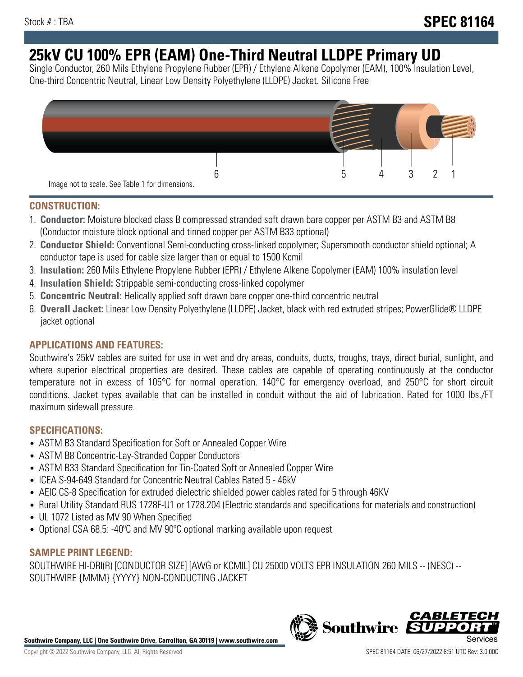# **25kV CU 100% EPR (EAM) One-Third Neutral LLDPE Primary UD**

Single Conductor, 260 Mils Ethylene Propylene Rubber (EPR) / Ethylene Alkene Copolymer (EAM), 100% Insulation Level, One-third Concentric Neutral, Linear Low Density Polyethylene (LLDPE) Jacket. Silicone Free



# **CONSTRUCTION:**

- 1. **Conductor:** Moisture blocked class B compressed stranded soft drawn bare copper per ASTM B3 and ASTM B8 (Conductor moisture block optional and tinned copper per ASTM B33 optional)
- 2. **Conductor Shield:** Conventional Semi-conducting cross-linked copolymer; Supersmooth conductor shield optional; A conductor tape is used for cable size larger than or equal to 1500 Kcmil
- 3. **Insulation:** 260 Mils Ethylene Propylene Rubber (EPR) / Ethylene Alkene Copolymer (EAM) 100% insulation level
- 4. **Insulation Shield:** Strippable semi-conducting cross-linked copolymer
- 5. **Concentric Neutral:** Helically applied soft drawn bare copper one-third concentric neutral
- 6. **Overall Jacket:** Linear Low Density Polyethylene (LLDPE) Jacket, black with red extruded stripes; PowerGlide® LLDPE jacket optional

# **APPLICATIONS AND FEATURES:**

Southwire's 25kV cables are suited for use in wet and dry areas, conduits, ducts, troughs, trays, direct burial, sunlight, and where superior electrical properties are desired. These cables are capable of operating continuously at the conductor temperature not in excess of 105°C for normal operation. 140°C for emergency overload, and 250°C for short circuit conditions. Jacket types available that can be installed in conduit without the aid of lubrication. Rated for 1000 lbs./FT maximum sidewall pressure.

## **SPECIFICATIONS:**

- ASTM B3 Standard Specification for Soft or Annealed Copper Wire
- ASTM B8 Concentric-Lay-Stranded Copper Conductors
- ASTM B33 Standard Specification for Tin-Coated Soft or Annealed Copper Wire
- ICEA S-94-649 Standard for Concentric Neutral Cables Rated 5 46kV
- AEIC CS-8 Specification for extruded dielectric shielded power cables rated for 5 through 46KV
- Rural Utility Standard RUS 1728F-U1 or 1728.204 (Electric standards and specifications for materials and construction)
- UL 1072 Listed as MV 90 When Specified
- Optional CSA 68.5: -40°C and MV 90°C optional marking available upon request

# **SAMPLE PRINT LEGEND:**

SOUTHWIRE HI-DRI(R) [CONDUCTOR SIZE] [AWG or KCMIL] CU 25000 VOLTS EPR INSULATION 260 MILS -- (NESC) -- SOUTHWIRE {MMM} {YYYY} NON-CONDUCTING JACKET

**Southwire Company, LLC | One Southwire Drive, Carrollton, GA 30119 | www.southwire.com**